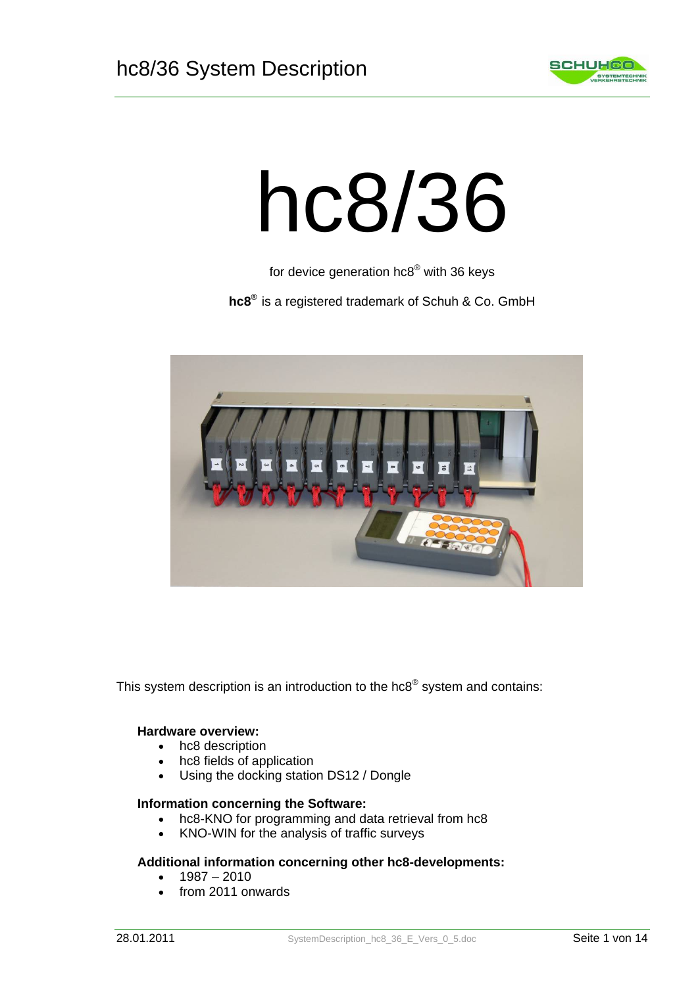

# hc8/36

for device generation hc8® with 36 keys

**hc8®** is a registered trademark of Schuh & Co. GmbH



This system description is an introduction to the hc8<sup>®</sup> system and contains:

#### **Hardware overview:**

- hc8 description
- hc8 fields of application
- Using the docking station DS12 / Dongle

#### **Information concerning the Software:**

- hc8-KNO for programming and data retrieval from hc8
- KNO-WIN for the analysis of traffic surveys

#### **Additional information concerning other hc8-developments:**

- 1987 2010
- from 2011 onwards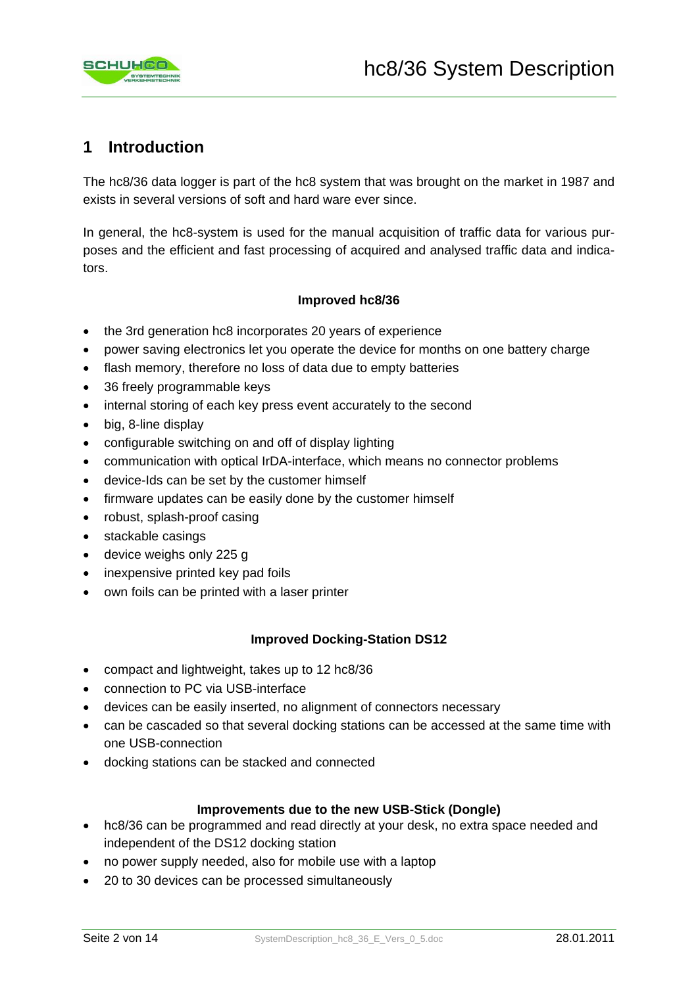

# **1 Introduction**

The hc8/36 data logger is part of the hc8 system that was brought on the market in 1987 and exists in several versions of soft and hard ware ever since.

In general, the hc8-system is used for the manual acquisition of traffic data for various purposes and the efficient and fast processing of acquired and analysed traffic data and indicators.

#### **Improved hc8/36**

- the 3rd generation hc8 incorporates 20 years of experience
- power saving electronics let you operate the device for months on one battery charge
- flash memory, therefore no loss of data due to empty batteries
- 36 freely programmable keys
- internal storing of each key press event accurately to the second
- big, 8-line display
- configurable switching on and off of display lighting
- communication with optical IrDA-interface, which means no connector problems
- device-Ids can be set by the customer himself
- firmware updates can be easily done by the customer himself
- robust, splash-proof casing
- stackable casings
- device weighs only 225 g
- inexpensive printed key pad foils
- own foils can be printed with a laser printer

#### **Improved Docking-Station DS12**

- compact and lightweight, takes up to 12 hc8/36
- connection to PC via USB-interface
- devices can be easily inserted, no alignment of connectors necessary
- can be cascaded so that several docking stations can be accessed at the same time with one USB-connection
- docking stations can be stacked and connected

#### **Improvements due to the new USB-Stick (Dongle)**

- hc8/36 can be programmed and read directly at your desk, no extra space needed and independent of the DS12 docking station
- no power supply needed, also for mobile use with a laptop
- 20 to 30 devices can be processed simultaneously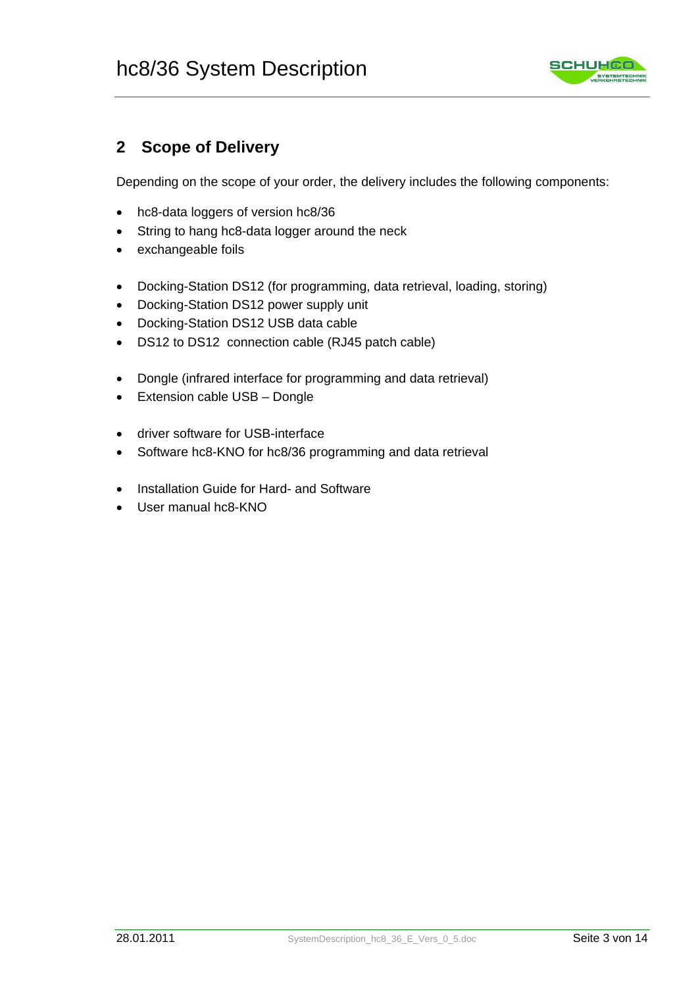

# **2 Scope of Delivery**

Depending on the scope of your order, the delivery includes the following components:

- hc8-data loggers of version hc8/36
- String to hang hc8-data logger around the neck
- exchangeable foils
- Docking-Station DS12 (for programming, data retrieval, loading, storing)
- Docking-Station DS12 power supply unit
- Docking-Station DS12 USB data cable
- DS12 to DS12 connection cable (RJ45 patch cable)
- Dongle (infrared interface for programming and data retrieval)
- Extension cable USB Dongle
- driver software for USB-interface
- Software hc8-KNO for hc8/36 programming and data retrieval
- Installation Guide for Hard- and Software
- User manual hc8-KNO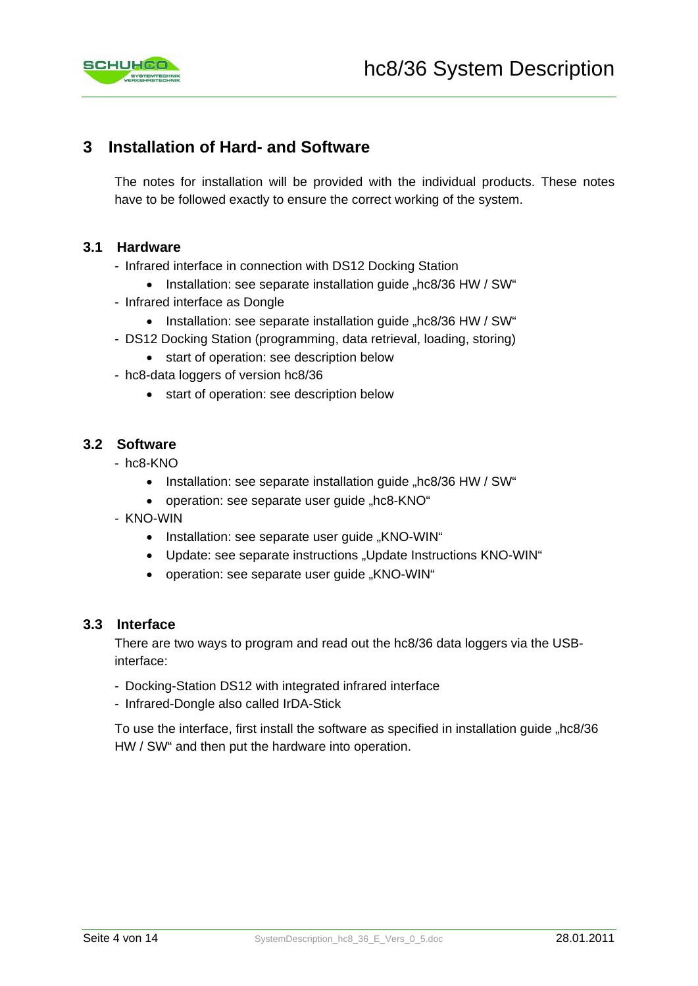

# **3 Installation of Hard- and Software**

The notes for installation will be provided with the individual products. These notes have to be followed exactly to ensure the correct working of the system.

#### **3.1 Hardware**

- Infrared interface in connection with DS12 Docking Station
	- Installation: see separate installation guide "hc8/36 HW / SW"
- Infrared interface as Dongle
	- Installation: see separate installation guide "hc8/36 HW / SW"
- DS12 Docking Station (programming, data retrieval, loading, storing)
	- start of operation: see description below
- hc8-data loggers of version hc8/36
	- start of operation: see description below

## **3.2 Software**

- hc8-KNO
	- Installation: see separate installation guide "hc8/36 HW / SW"
	- operation: see separate user guide "hc8-KNO"
- KNO-WIN
	- Installation: see separate user guide "KNO-WIN"
	- Update: see separate instructions "Update Instructions KNO-WIN"
	- operation: see separate user quide "KNO-WIN"

#### **3.3 Interface**

There are two ways to program and read out the hc8/36 data loggers via the USBinterface:

- Docking-Station DS12 with integrated infrared interface
- Infrared-Dongle also called IrDA-Stick

To use the interface, first install the software as specified in installation quide "hc8/36 HW / SW" and then put the hardware into operation.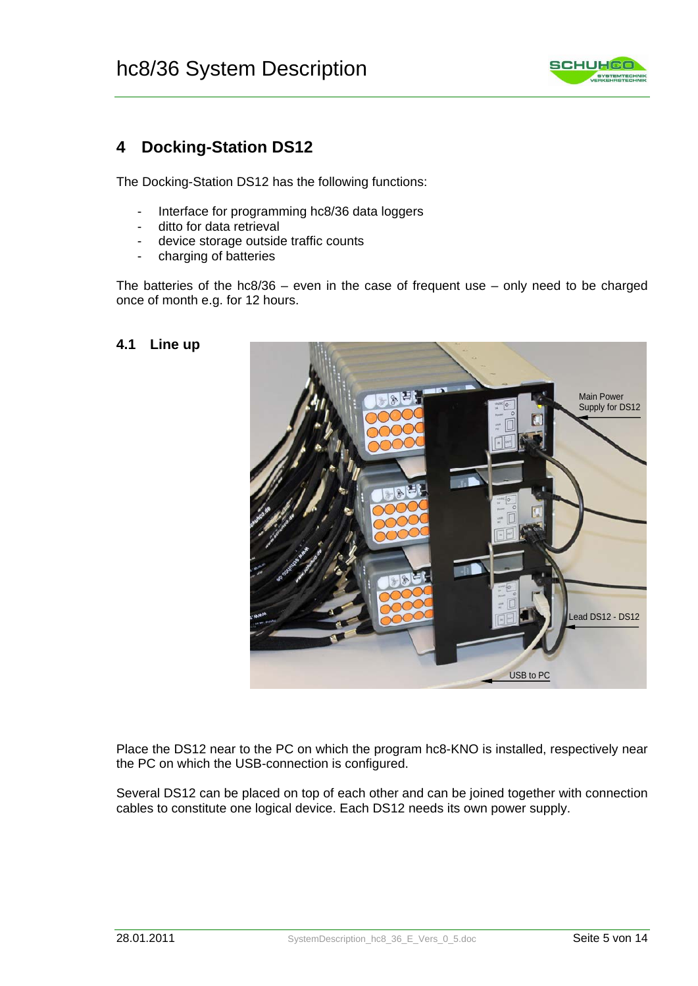

# **4 Docking-Station DS12**

The Docking-Station DS12 has the following functions:

- Interface for programming hc8/36 data loggers
- ditto for data retrieval
- device storage outside traffic counts
- charging of batteries

The batteries of the  $hc8/36$  – even in the case of frequent use – only need to be charged once of month e.g. for 12 hours.

#### **4.1 Line up**



Place the DS12 near to the PC on which the program hc8-KNO is installed, respectively near the PC on which the USB-connection is configured.

Several DS12 can be placed on top of each other and can be joined together with connection cables to constitute one logical device. Each DS12 needs its own power supply.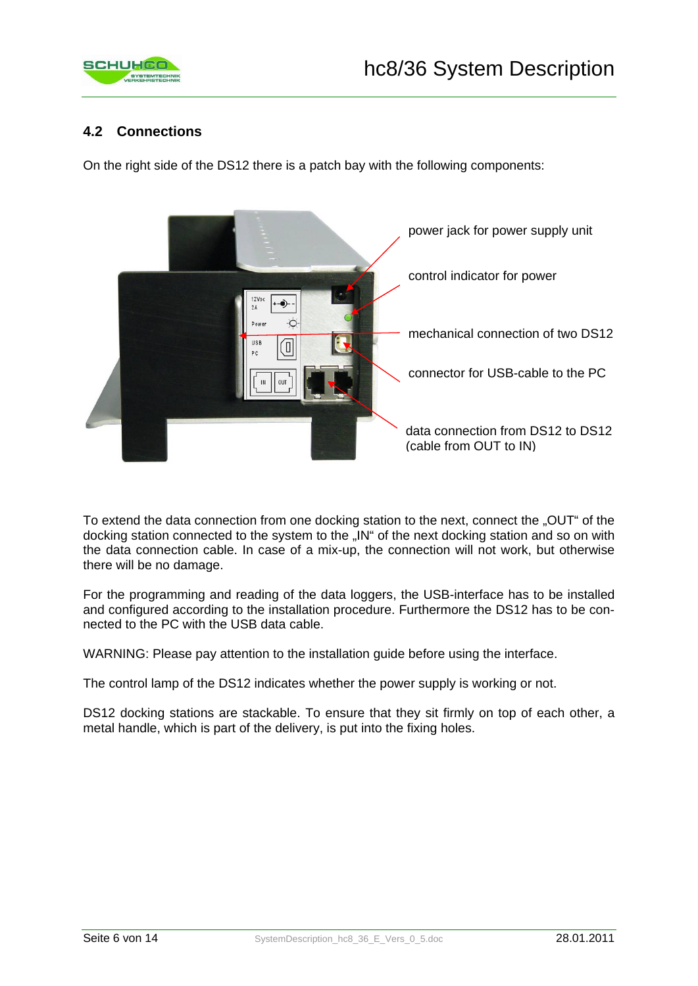

## **4.2 Connections**

On the right side of the DS12 there is a patch bay with the following components:



To extend the data connection from one docking station to the next, connect the "OUT" of the docking station connected to the system to the ..IN" of the next docking station and so on with the data connection cable. In case of a mix-up, the connection will not work, but otherwise there will be no damage.

For the programming and reading of the data loggers, the USB-interface has to be installed and configured according to the installation procedure. Furthermore the DS12 has to be connected to the PC with the USB data cable.

WARNING: Please pay attention to the installation guide before using the interface.

The control lamp of the DS12 indicates whether the power supply is working or not.

DS12 docking stations are stackable. To ensure that they sit firmly on top of each other, a metal handle, which is part of the delivery, is put into the fixing holes.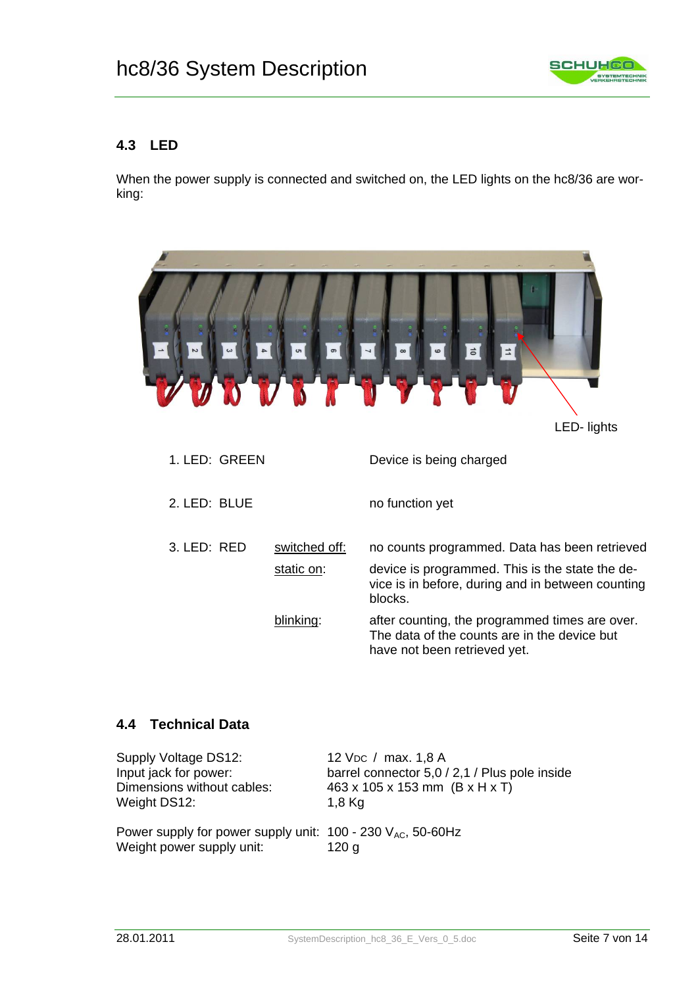

## **4.3 LED**

When the power supply is connected and switched on, the LED lights on the hc8/36 are working:



## **4.4 Technical Data**

| Supply Voltage DS12:                                                                                   | 12 V <sub>DC</sub> / max. 1,8 A               |
|--------------------------------------------------------------------------------------------------------|-----------------------------------------------|
| Input jack for power:                                                                                  | barrel connector 5,0 / 2,1 / Plus pole inside |
| Dimensions without cables:                                                                             | 463 x 105 x 153 mm (B x H x T)                |
| Weight DS12:                                                                                           | $1,8$ Kg                                      |
| Power supply for power supply unit: $100 - 230$ V <sub>AC</sub> , 50-60Hz<br>Weight power supply unit: | 120 g                                         |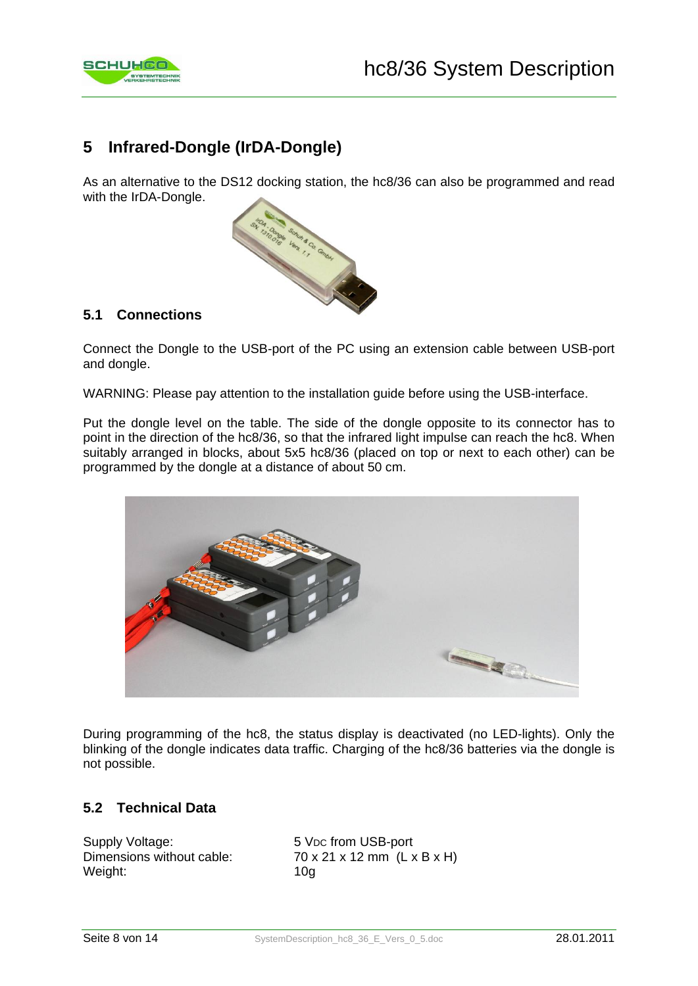

# **5 Infrared-Dongle (IrDA-Dongle)**

As an alternative to the DS12 docking station, the hc8/36 can also be programmed and read with the IrDA-Dongle.



## **5.1 Connections**

Connect the Dongle to the USB-port of the PC using an extension cable between USB-port and dongle.

WARNING: Please pay attention to the installation guide before using the USB-interface.

Put the dongle level on the table. The side of the dongle opposite to its connector has to point in the direction of the hc8/36, so that the infrared light impulse can reach the hc8. When suitably arranged in blocks, about 5x5 hc8/36 (placed on top or next to each other) can be programmed by the dongle at a distance of about 50 cm.



During programming of the hc8, the status display is deactivated (no LED-lights). Only the blinking of the dongle indicates data traffic. Charging of the hc8/36 batteries via the dongle is not possible.

## **5.2 Technical Data**

Supply Voltage: 5 VDC from USB-port Weight: 10g

Dimensions without cable:  $70 \times 21 \times 12 \text{ mm}$  (L x B x H)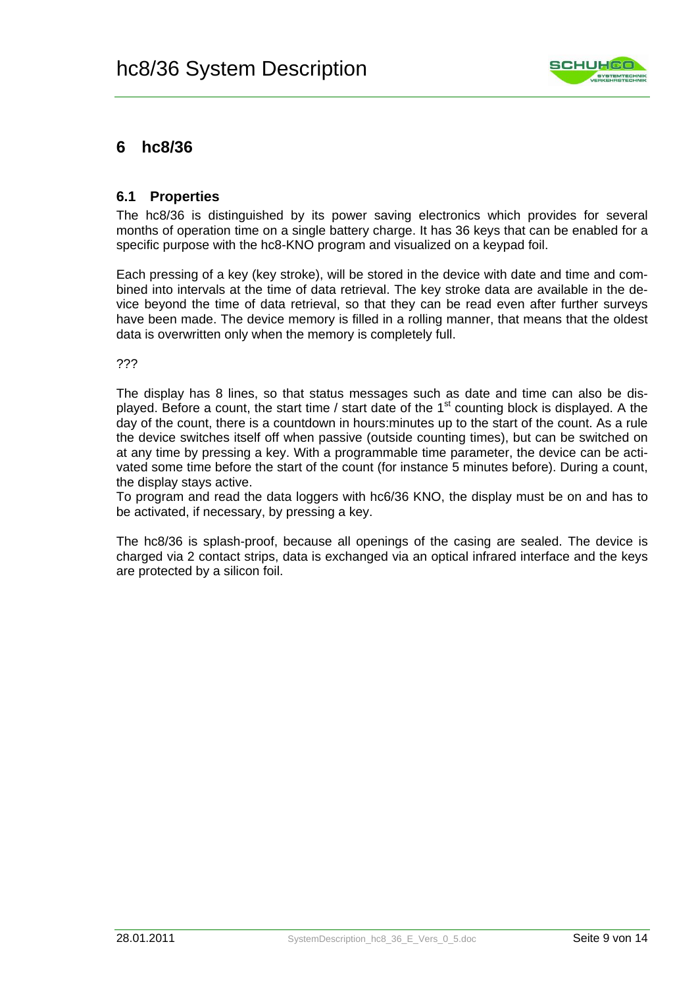

# **6 hc8/36**

### **6.1 Properties**

The hc8/36 is distinguished by its power saving electronics which provides for several months of operation time on a single battery charge. It has 36 keys that can be enabled for a specific purpose with the hc8-KNO program and visualized on a keypad foil.

Each pressing of a key (key stroke), will be stored in the device with date and time and combined into intervals at the time of data retrieval. The key stroke data are available in the device beyond the time of data retrieval, so that they can be read even after further surveys have been made. The device memory is filled in a rolling manner, that means that the oldest data is overwritten only when the memory is completely full.

???

The display has 8 lines, so that status messages such as date and time can also be displayed. Before a count, the start time / start date of the  $1<sup>st</sup>$  counting block is displayed. A the day of the count, there is a countdown in hours:minutes up to the start of the count. As a rule the device switches itself off when passive (outside counting times), but can be switched on at any time by pressing a key. With a programmable time parameter, the device can be activated some time before the start of the count (for instance 5 minutes before). During a count, the display stays active.

To program and read the data loggers with hc6/36 KNO, the display must be on and has to be activated, if necessary, by pressing a key.

The hc8/36 is splash-proof, because all openings of the casing are sealed. The device is charged via 2 contact strips, data is exchanged via an optical infrared interface and the keys are protected by a silicon foil.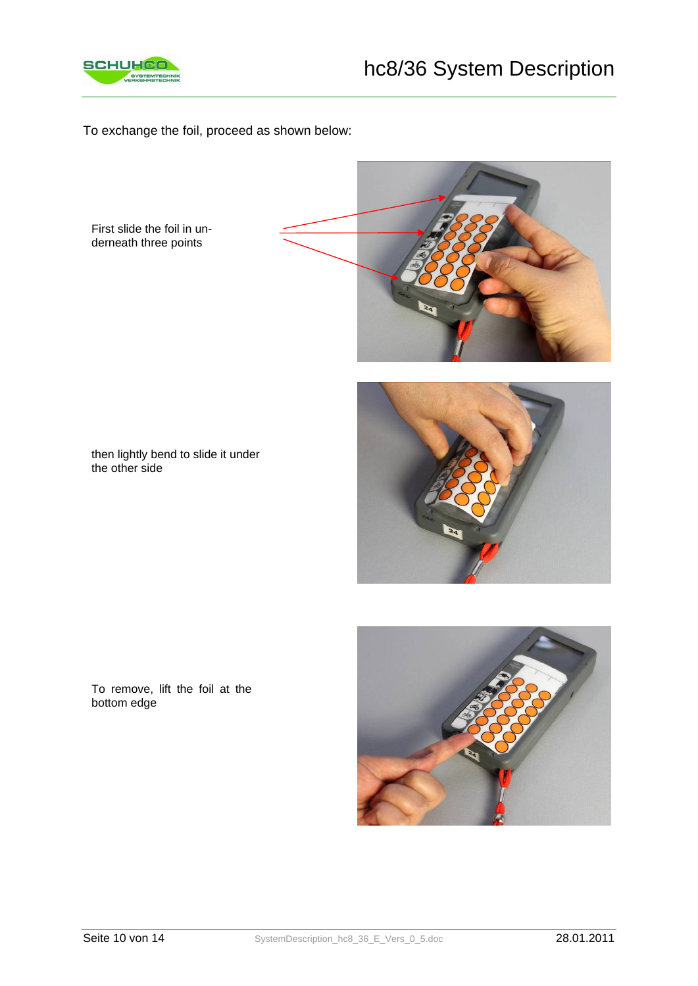

To exchange the foil, proceed as shown below:

First slide the foil in underneath three points



then lightly bend to slide it under the other side





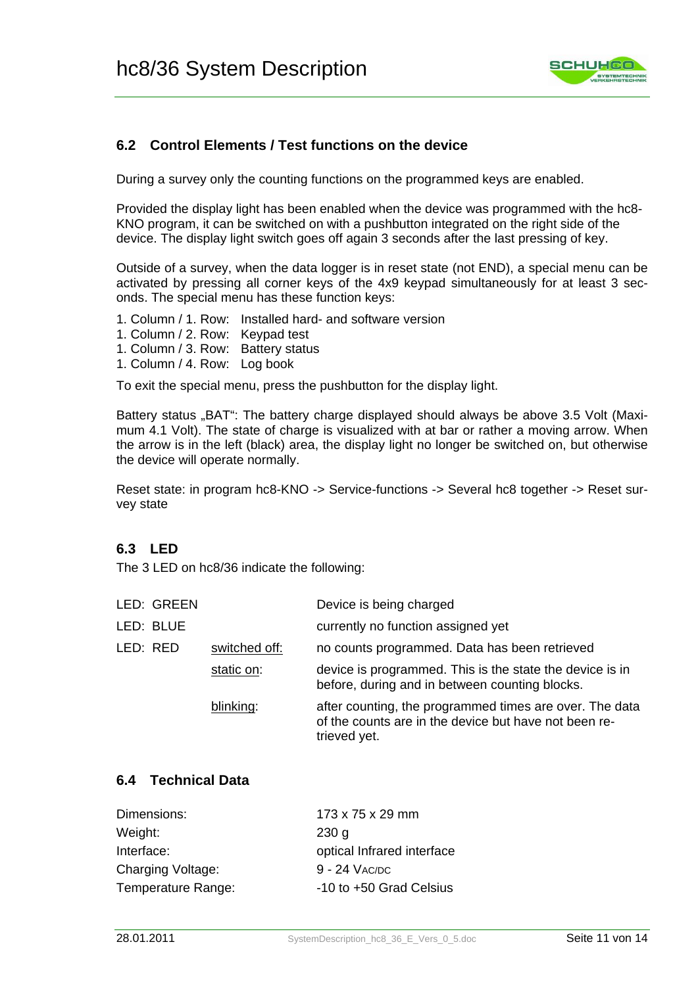

## **6.2 Control Elements / Test functions on the device**

During a survey only the counting functions on the programmed keys are enabled.

Provided the display light has been enabled when the device was programmed with the hc8- KNO program, it can be switched on with a pushbutton integrated on the right side of the device. The display light switch goes off again 3 seconds after the last pressing of key.

Outside of a survey, when the data logger is in reset state (not END), a special menu can be activated by pressing all corner keys of the 4x9 keypad simultaneously for at least 3 seconds. The special menu has these function keys:

- 1. Column / 1. Row: Installed hard- and software version
- 1. Column / 2. Row: Keypad test
- 1. Column / 3. Row: Battery status
- 1. Column / 4. Row: Log book

To exit the special menu, press the pushbutton for the display light.

Battery status "BAT": The battery charge displayed should always be above 3.5 Volt (Maximum 4.1 Volt). The state of charge is visualized with at bar or rather a moving arrow. When the arrow is in the left (black) area, the display light no longer be switched on, but otherwise the device will operate normally.

Reset state: in program hc8-KNO -> Service-functions -> Several hc8 together -> Reset survey state

## **6.3 LED**

The 3 LED on hc8/36 indicate the following:

| LED: GREEN                | Device is being charged                                                                                                          |
|---------------------------|----------------------------------------------------------------------------------------------------------------------------------|
| LED: BLUE                 | currently no function assigned yet                                                                                               |
| switched off:<br>LED: RED | no counts programmed. Data has been retrieved                                                                                    |
| static on:                | device is programmed. This is the state the device is in<br>before, during and in between counting blocks.                       |
| blinking:                 | after counting, the programmed times are over. The data<br>of the counts are in the device but have not been re-<br>trieved yet. |
|                           |                                                                                                                                  |

## **6.4 Technical Data**

| Dimensions:        | 173 x 75 x 29 mm           |
|--------------------|----------------------------|
| Weight:            | 230 <sub>q</sub>           |
| Interface:         | optical Infrared interface |
| Charging Voltage:  | 9 - 24 VAC/DC              |
| Temperature Range: | -10 to +50 Grad Celsius    |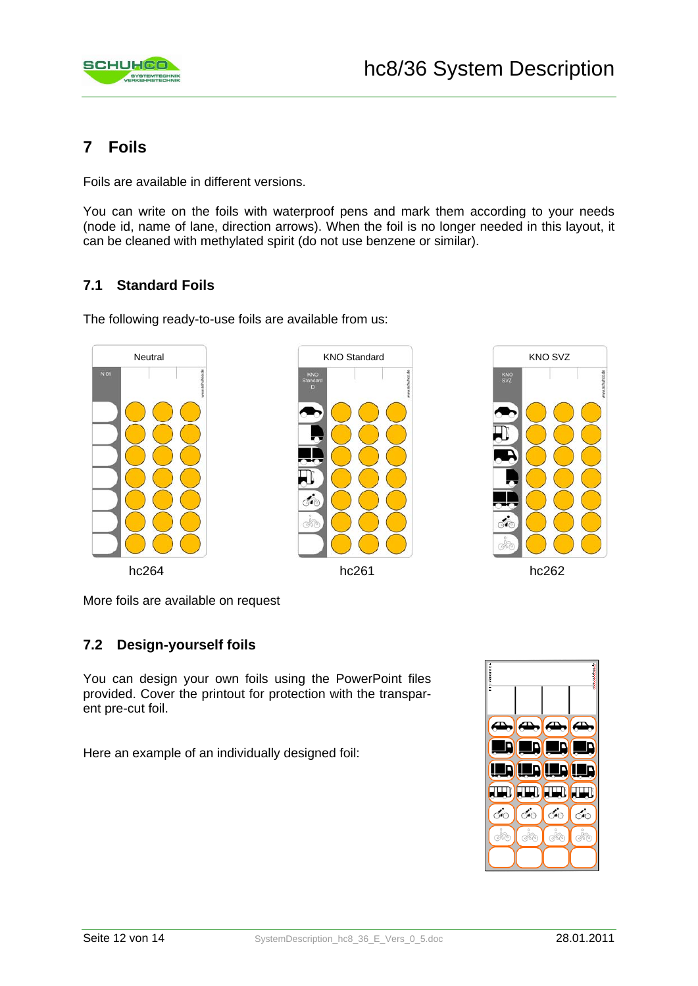

# **7 Foils**

Foils are available in different versions.

You can write on the foils with waterproof pens and mark them according to your needs (node id, name of lane, direction arrows). When the foil is no longer needed in this layout, it can be cleaned with methylated spirit (do not use benzene or similar).

# **7.1 Standard Foils**

The following ready-to-use foils are available from us:







More foils are available on request

## **7.2 Design-yourself foils**

You can design your own foils using the PowerPoint files provided. Cover the printout for protection with the transparent pre-cut foil.

Here an example of an individually designed foil:

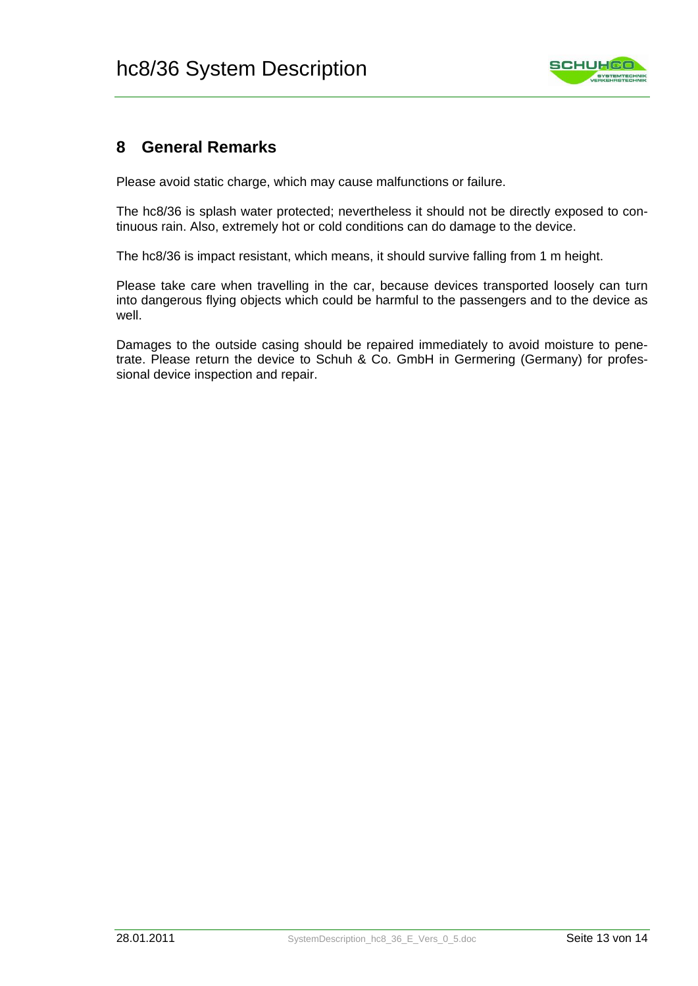

# **8 General Remarks**

Please avoid static charge, which may cause malfunctions or failure.

The hc8/36 is splash water protected; nevertheless it should not be directly exposed to continuous rain. Also, extremely hot or cold conditions can do damage to the device.

The hc8/36 is impact resistant, which means, it should survive falling from 1 m height.

Please take care when travelling in the car, because devices transported loosely can turn into dangerous flying objects which could be harmful to the passengers and to the device as well.

Damages to the outside casing should be repaired immediately to avoid moisture to penetrate. Please return the device to Schuh & Co. GmbH in Germering (Germany) for professional device inspection and repair.